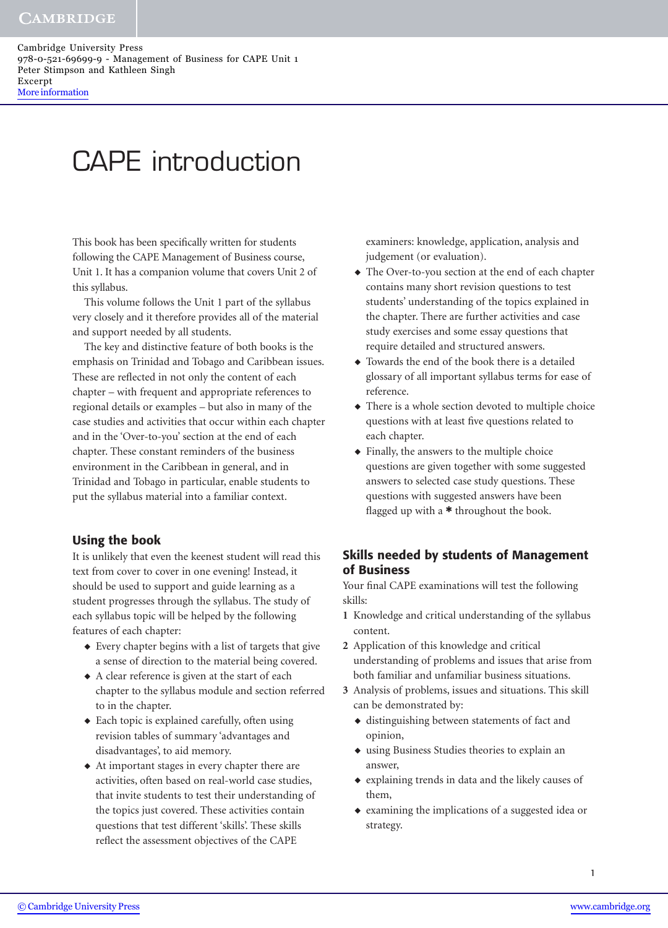## CAPE introduction

This book has been specifically written for students following the CAPE Management of Business course, Unit 1. It has a companion volume that covers Unit 2 of this syllabus.

This volume follows the Unit 1 part of the syllabus very closely and it therefore provides all of the material and support needed by all students.

The key and distinctive feature of both books is the emphasis on Trinidad and Tobago and Caribbean issues. These are reflected in not only the content of each chapter – with frequent and appropriate references to regional details or examples – but also in many of the case studies and activities that occur within each chapter and in the 'Over-to-you' section at the end of each chapter. These constant reminders of the business environment in the Caribbean in general, and in Trinidad and Tobago in particular, enable students to put the syllabus material into a familiar context.

## **Using the book**

It is unlikely that even the keenest student will read this text from cover to cover in one evening! Instead, it should be used to support and guide learning as a student progresses through the syllabus. The study of each syllabus topic will be helped by the following features of each chapter:

- ◆ Every chapter begins with a list of targets that give a sense of direction to the material being covered.
- ◆ A clear reference is given at the start of each chapter to the syllabus module and section referred to in the chapter.
- ◆ Each topic is explained carefully, often using revision tables of summary 'advantages and disadvantages', to aid memory.
- ◆ At important stages in every chapter there are activities, often based on real-world case studies, that invite students to test their understanding of the topics just covered. These activities contain questions that test different 'skills'. These skills reflect the assessment objectives of the CAPE

examiners: knowledge, application, analysis and judgement (or evaluation).

- ◆ The Over-to-you section at the end of each chapter contains many short revision questions to test students' understanding of the topics explained in the chapter. There are further activities and case study exercises and some essay questions that require detailed and structured answers.
- ◆ Towards the end of the book there is a detailed glossary of all important syllabus terms for ease of reference.
- ◆ There is a whole section devoted to multiple choice questions with at least five questions related to each chapter.
- ◆ Finally, the answers to the multiple choice questions are given together with some suggested answers to selected case study questions. These questions with suggested answers have been flagged up with a **\*** throughout the book.

## **Skills needed by students of Management of Business**

Your final CAPE examinations will test the following skills:

- **1** Knowledge and critical understanding of the syllabus content.
- **2** Application of this knowledge and critical understanding of problems and issues that arise from both familiar and unfamiliar business situations.
- **3** Analysis of problems, issues and situations. This skill can be demonstrated by:
	- ◆ distinguishing between statements of fact and opinion,
	- ◆ using Business Studies theories to explain an answer,
	- ◆ explaining trends in data and the likely causes of them,
	- ◆ examining the implications of a suggested idea or strategy.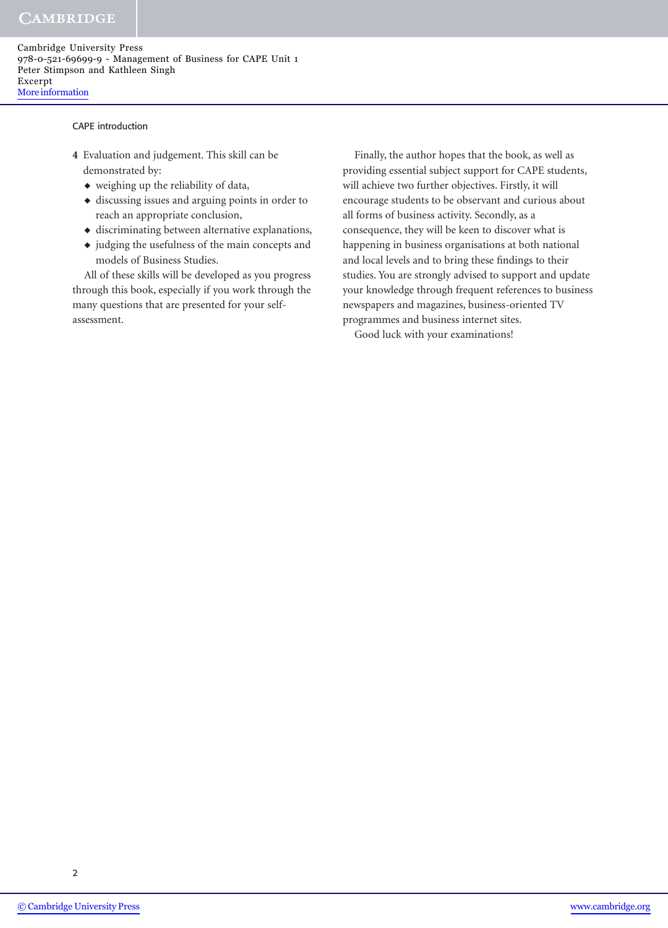## **CAMBRIDGE**

Cambridge University Press 978-0-521-69699-9 - Management of Business for CAPE Unit 1 Peter Stimpson and Kathleen Singh Excerpt [More information](http://www.cambridge.org/0521696992)

CAPE introduction

- **4** Evaluation and judgement. This skill can be demonstrated by:
	- ◆ weighing up the reliability of data,
	- ◆ discussing issues and arguing points in order to reach an appropriate conclusion,
	- ◆ discriminating between alternative explanations,
	- ◆ judging the usefulness of the main concepts and models of Business Studies.

All of these skills will be developed as you progress through this book, especially if you work through the many questions that are presented for your selfassessment.

Finally, the author hopes that the book, as well as providing essential subject support for CAPE students, will achieve two further objectives. Firstly, it will encourage students to be observant and curious about all forms of business activity. Secondly, as a consequence, they will be keen to discover what is happening in business organisations at both national and local levels and to bring these findings to their studies. You are strongly advised to support and update your knowledge through frequent references to business newspapers and magazines, business-oriented TV programmes and business internet sites.

Good luck with your examinations!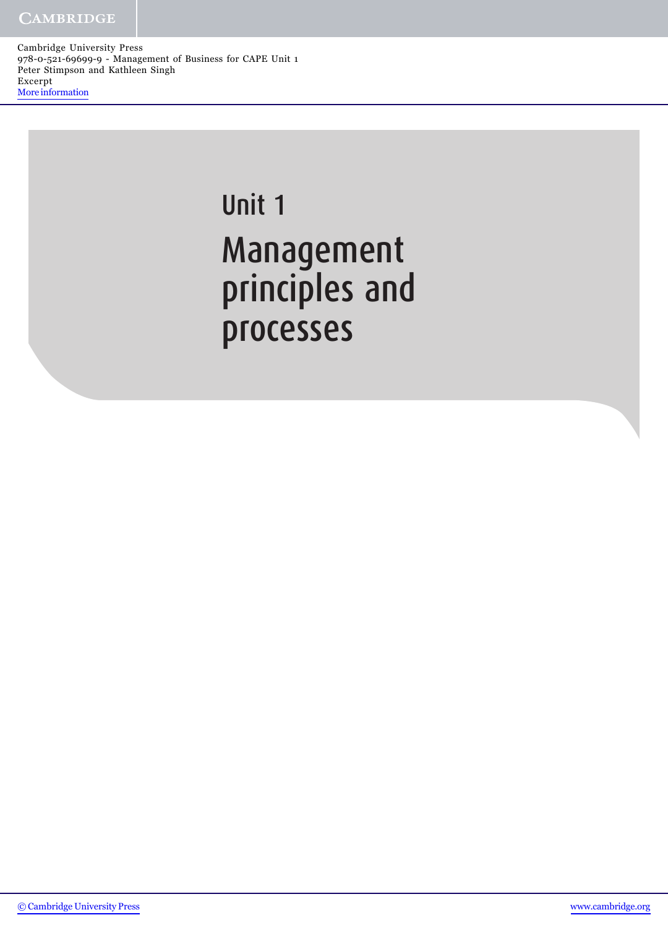# Unit 1 Management principles and processes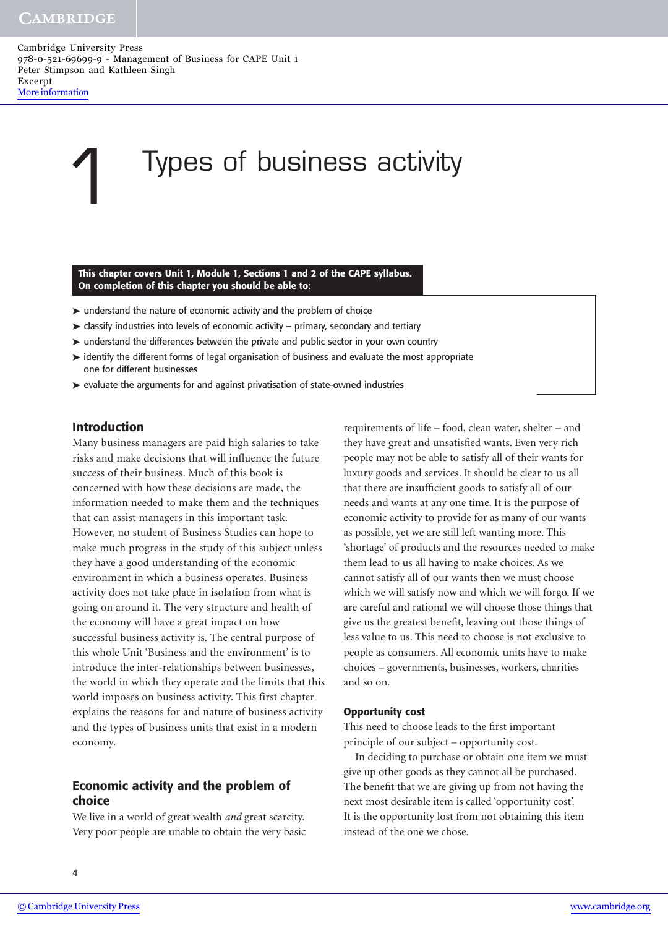## 1 Types of business activity

**This chapter covers Unit 1, Module 1, Sections 1 and 2 of the CAPE syllabus. On completion of this chapter you should be able to:**

- ➤ understand the nature of economic activity and the problem of choice
- ➤ classify industries into levels of economic activity primary, secondary and tertiary
- ➤ understand the differences between the private and public sector in your own country
- ➤ identify the different forms of legal organisation of business and evaluate the most appropriate one for different businesses
- ➤ evaluate the arguments for and against privatisation of state-owned industries

#### **Introduction**

Many business managers are paid high salaries to take risks and make decisions that will influence the future success of their business. Much of this book is concerned with how these decisions are made, the information needed to make them and the techniques that can assist managers in this important task. However, no student of Business Studies can hope to make much progress in the study of this subject unless they have a good understanding of the economic environment in which a business operates. Business activity does not take place in isolation from what is going on around it. The very structure and health of the economy will have a great impact on how successful business activity is. The central purpose of this whole Unit 'Business and the environment' is to introduce the inter-relationships between businesses, the world in which they operate and the limits that this world imposes on business activity. This first chapter explains the reasons for and nature of business activity and the types of business units that exist in a modern economy.

## **Economic activity and the problem of choice**

We live in a world of great wealth *and* great scarcity. Very poor people are unable to obtain the very basic requirements of life – food, clean water, shelter – and they have great and unsatisfied wants. Even very rich people may not be able to satisfy all of their wants for luxury goods and services. It should be clear to us all that there are insufficient goods to satisfy all of our needs and wants at any one time. It is the purpose of economic activity to provide for as many of our wants as possible, yet we are still left wanting more. This 'shortage' of products and the resources needed to make them lead to us all having to make choices. As we cannot satisfy all of our wants then we must choose which we will satisfy now and which we will forgo. If we are careful and rational we will choose those things that give us the greatest benefit, leaving out those things of less value to us. This need to choose is not exclusive to people as consumers. All economic units have to make choices – governments, businesses, workers, charities and so on.

#### **Opportunity cost**

This need to choose leads to the first important principle of our subject – opportunity cost.

In deciding to purchase or obtain one item we must give up other goods as they cannot all be purchased. The benefit that we are giving up from not having the next most desirable item is called 'opportunity cost'. It is the opportunity lost from not obtaining this item instead of the one we chose.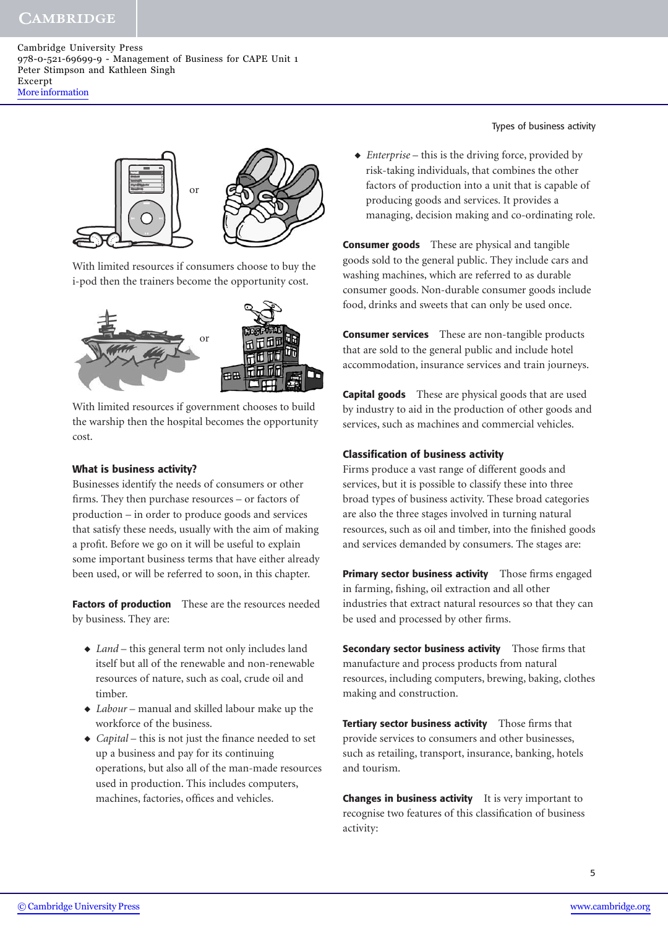## **CAMBRIDGE**

Cambridge University Press 978-0-521-69699-9 - Management of Business for CAPE Unit 1 Peter Stimpson and Kathleen Singh Excerpt [More information](http://www.cambridge.org/0521696992)



With limited resources if consumers choose to buy the i-pod then the trainers become the opportunity cost.



With limited resources if government chooses to build the warship then the hospital becomes the opportunity cost.

### **What is business activity?**

Businesses identify the needs of consumers or other firms. They then purchase resources – or factors of production – in order to produce goods and services that satisfy these needs, usually with the aim of making a profit. Before we go on it will be useful to explain some important business terms that have either already been used, or will be referred to soon, in this chapter.

**Factors of production** These are the resources needed by business. They are:

- ◆ *Land* this general term not only includes land itself but all of the renewable and non-renewable resources of nature, such as coal, crude oil and timber.
- ◆ *Labour* manual and skilled labour make up the workforce of the business.
- ◆ *Capital* this is not just the finance needed to set up a business and pay for its continuing operations, but also all of the man-made resources used in production. This includes computers, machines, factories, offices and vehicles.

Types of business activity

◆ *Enterprise* – this is the driving force, provided by risk-taking individuals, that combines the other factors of production into a unit that is capable of producing goods and services. It provides a managing, decision making and co-ordinating role.

**Consumer goods** These are physical and tangible goods sold to the general public. They include cars and washing machines, which are referred to as durable consumer goods. Non-durable consumer goods include food, drinks and sweets that can only be used once.

**Consumer services** These are non-tangible products that are sold to the general public and include hotel accommodation, insurance services and train journeys.

**Capital goods** These are physical goods that are used by industry to aid in the production of other goods and services, such as machines and commercial vehicles.

### **Classification of business activity**

Firms produce a vast range of different goods and services, but it is possible to classify these into three broad types of business activity. These broad categories are also the three stages involved in turning natural resources, such as oil and timber, into the finished goods and services demanded by consumers. The stages are:

**Primary sector business activity** Those firms engaged in farming, fishing, oil extraction and all other industries that extract natural resources so that they can be used and processed by other firms.

**Secondary sector business activity** Those firms that manufacture and process products from natural resources, including computers, brewing, baking, clothes making and construction.

**Tertiary sector business activity** Those firms that provide services to consumers and other businesses, such as retailing, transport, insurance, banking, hotels and tourism.

**Changes in business activity** It is very important to recognise two features of this classification of business activity: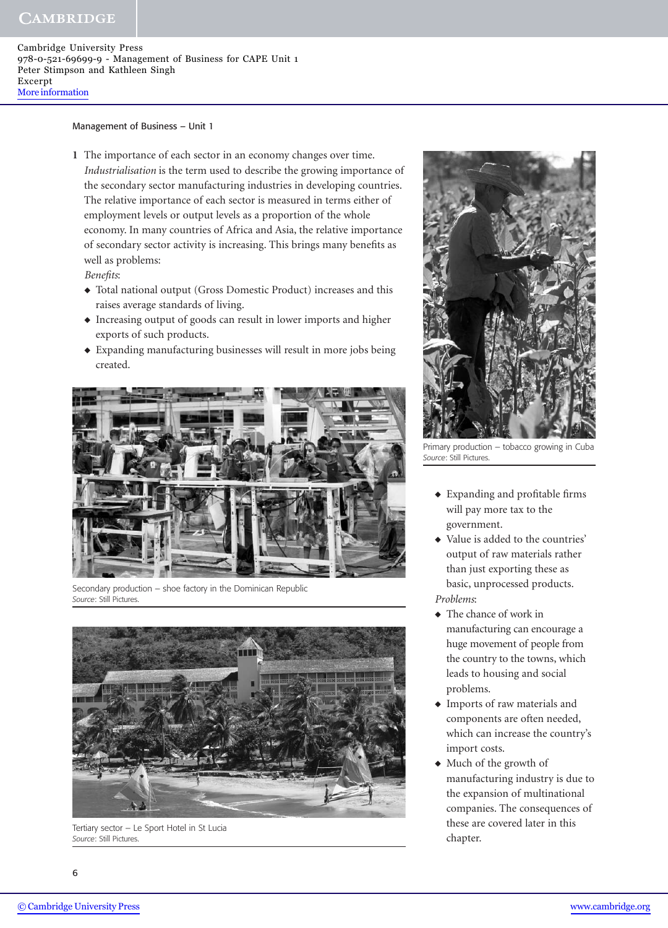## **CAMBRIDGE**

Cambridge University Press 978-0-521-69699-9 - Management of Business for CAPE Unit 1 Peter Stimpson and Kathleen Singh Excerpt [More information](http://www.cambridge.org/0521696992)

Management of Business – Unit 1

**1** The importance of each sector in an economy changes over time. *Industrialisation* is the term used to describe the growing importance of the secondary sector manufacturing industries in developing countries. The relative importance of each sector is measured in terms either of employment levels or output levels as a proportion of the whole economy. In many countries of Africa and Asia, the relative importance of secondary sector activity is increasing. This brings many benefits as well as problems:

*Benefits*:

- ◆ Total national output (Gross Domestic Product) increases and this raises average standards of living.
- ◆ Increasing output of goods can result in lower imports and higher exports of such products.
- ◆ Expanding manufacturing businesses will result in more jobs being created.



Secondary production – shoe factory in the Dominican Republic *Source*: Still Pictures.



Tertiary sector – Le Sport Hotel in St Lucia *Source*: Still Pictures.



Primary production – tobacco growing in Cuba *Source*: Still Pictures.

- ◆ Expanding and profitable firms will pay more tax to the government.
- ◆ Value is added to the countries' output of raw materials rather than just exporting these as basic, unprocessed products. *Problems*:
- ◆ The chance of work in manufacturing can encourage a huge movement of people from the country to the towns, which leads to housing and social problems.
- ◆ Imports of raw materials and components are often needed, which can increase the country's import costs.
- ◆ Much of the growth of manufacturing industry is due to the expansion of multinational companies. The consequences of these are covered later in this chapter.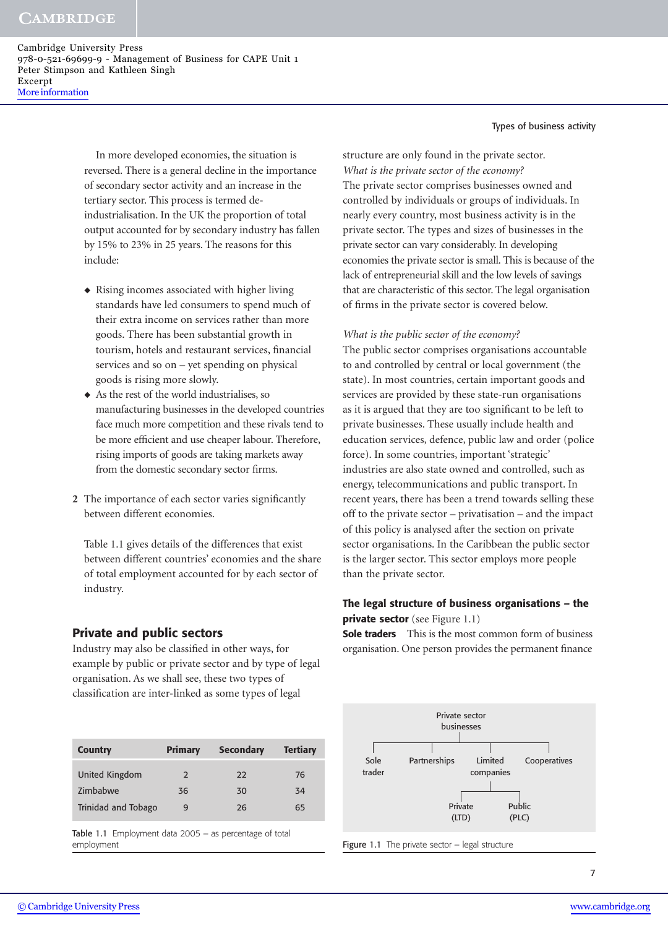> In more developed economies, the situation is reversed. There is a general decline in the importance of secondary sector activity and an increase in the tertiary sector. This process is termed deindustrialisation. In the UK the proportion of total output accounted for by secondary industry has fallen by 15% to 23% in 25 years. The reasons for this include:

- ◆ Rising incomes associated with higher living standards have led consumers to spend much of their extra income on services rather than more goods. There has been substantial growth in tourism, hotels and restaurant services, financial services and so on – yet spending on physical goods is rising more slowly.
- ◆ As the rest of the world industrialises, so manufacturing businesses in the developed countries face much more competition and these rivals tend to be more efficient and use cheaper labour. Therefore, rising imports of goods are taking markets away from the domestic secondary sector firms.
- **2** The importance of each sector varies significantly between different economies.

Table 1.1 gives details of the differences that exist between different countries' economies and the share of total employment accounted for by each sector of industry.

## **Private and public sectors**

Industry may also be classified in other ways, for example by public or private sector and by type of legal organisation. As we shall see, these two types of classification are inter-linked as some types of legal

| <b>Country</b>      | <b>Primary</b> | <b>Secondary</b> | <b>Tertiary</b> |
|---------------------|----------------|------------------|-----------------|
| United Kingdom      | $\mathcal{P}$  | 22               | 76              |
| Zimbabwe            | 36             | 30               | 34              |
| Trinidad and Tobago | 9              | 26               | 65              |

Table 1.1 Employment data 2005 – as percentage of total employment

Types of business activity

structure are only found in the private sector. *What is the private sector of the economy?* The private sector comprises businesses owned and controlled by individuals or groups of individuals. In nearly every country, most business activity is in the private sector. The types and sizes of businesses in the private sector can vary considerably. In developing economies the private sector is small. This is because of the lack of entrepreneurial skill and the low levels of savings that are characteristic of this sector. The legal organisation of firms in the private sector is covered below.

*What is the public sector of the economy?*

The public sector comprises organisations accountable to and controlled by central or local government (the state). In most countries, certain important goods and services are provided by these state-run organisations as it is argued that they are too significant to be left to private businesses. These usually include health and education services, defence, public law and order (police force). In some countries, important 'strategic' industries are also state owned and controlled, such as energy, telecommunications and public transport. In recent years, there has been a trend towards selling these off to the private sector – privatisation – and the impact of this policy is analysed after the section on private sector organisations. In the Caribbean the public sector is the larger sector. This sector employs more people than the private sector.

## **The legal structure of business organisations – the private sector** (see Figure 1.1)

**Sole traders** This is the most common form of business organisation. One person provides the permanent finance



Figure 1.1 The private sector - legal structure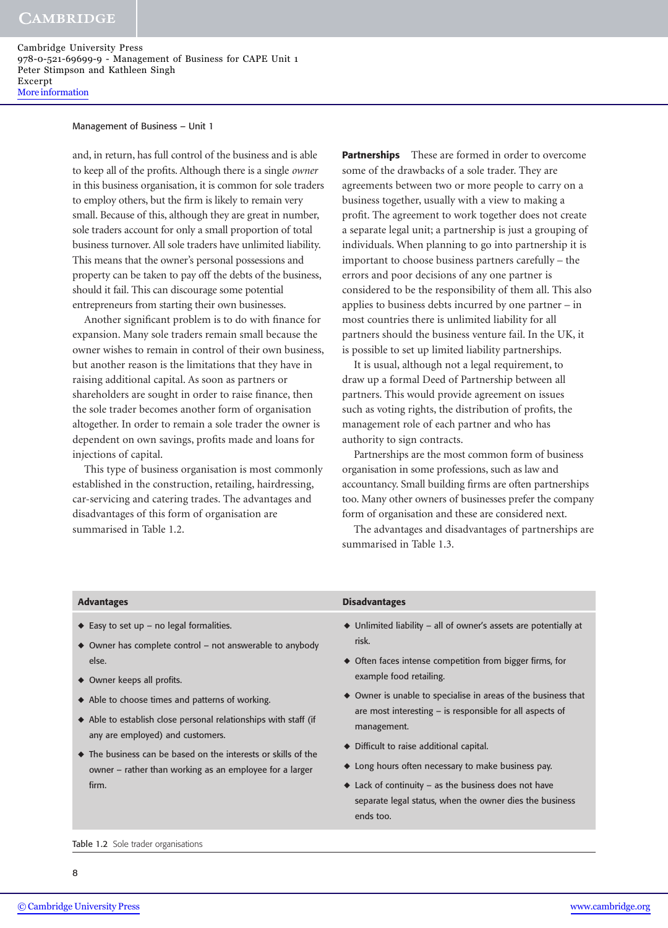#### Management of Business – Unit 1

and, in return, has full control of the business and is able to keep all of the profits. Although there is a single *owner* in this business organisation, it is common for sole traders to employ others, but the firm is likely to remain very small. Because of this, although they are great in number, sole traders account for only a small proportion of total business turnover. All sole traders have unlimited liability. This means that the owner's personal possessions and property can be taken to pay off the debts of the business, should it fail. This can discourage some potential entrepreneurs from starting their own businesses.

Another significant problem is to do with finance for expansion. Many sole traders remain small because the owner wishes to remain in control of their own business, but another reason is the limitations that they have in raising additional capital. As soon as partners or shareholders are sought in order to raise finance, then the sole trader becomes another form of organisation altogether. In order to remain a sole trader the owner is dependent on own savings, profits made and loans for injections of capital.

This type of business organisation is most commonly established in the construction, retailing, hairdressing, car-servicing and catering trades. The advantages and disadvantages of this form of organisation are summarised in Table 1.2.

**Partnerships** These are formed in order to overcome some of the drawbacks of a sole trader. They are agreements between two or more people to carry on a business together, usually with a view to making a profit. The agreement to work together does not create a separate legal unit; a partnership is just a grouping of individuals. When planning to go into partnership it is important to choose business partners carefully – the errors and poor decisions of any one partner is considered to be the responsibility of them all. This also applies to business debts incurred by one partner – in most countries there is unlimited liability for all partners should the business venture fail. In the UK, it is possible to set up limited liability partnerships.

It is usual, although not a legal requirement, to draw up a formal Deed of Partnership between all partners. This would provide agreement on issues such as voting rights, the distribution of profits, the management role of each partner and who has authority to sign contracts.

Partnerships are the most common form of business organisation in some professions, such as law and accountancy. Small building firms are often partnerships too. Many other owners of businesses prefer the company form of organisation and these are considered next.

The advantages and disadvantages of partnerships are summarised in Table 1.3.

| <b>Advantages</b>                                                                                                          | <b>Disadvantages</b>                                                                    |
|----------------------------------------------------------------------------------------------------------------------------|-----------------------------------------------------------------------------------------|
| $\blacklozenge$ Easy to set up - no legal formalities.<br>$\bullet$ Owner has complete control – not answerable to anybody | $\blacklozenge$ Unlimited liability – all of owner's assets are potentially at<br>risk. |
| else.                                                                                                                      | $\bullet$ Often faces intense competition from bigger firms, for                        |
| $\triangle$ Owner keeps all profits.                                                                                       | example food retailing.                                                                 |
| • Able to choose times and patterns of working.                                                                            | • Owner is unable to specialise in areas of the business that                           |
| • Able to establish close personal relationships with staff (if                                                            | are most interesting - is responsible for all aspects of<br>management.                 |
| any are employed) and customers.                                                                                           |                                                                                         |
| $\bullet$ The business can be based on the interests or skills of the                                                      | ◆ Difficult to raise additional capital.                                                |
| $\omega$ wner – rather than working as an employee for a larger                                                            | $\bullet$ Long hours often necessary to make business pay.                              |

- $\triangleleft$  Lack of continuity as the business does not have separate legal status, when the owner dies the business ends too.
- owner rather than working as an employee for a larger firm.

#### Table 1.2 Sole trader organisations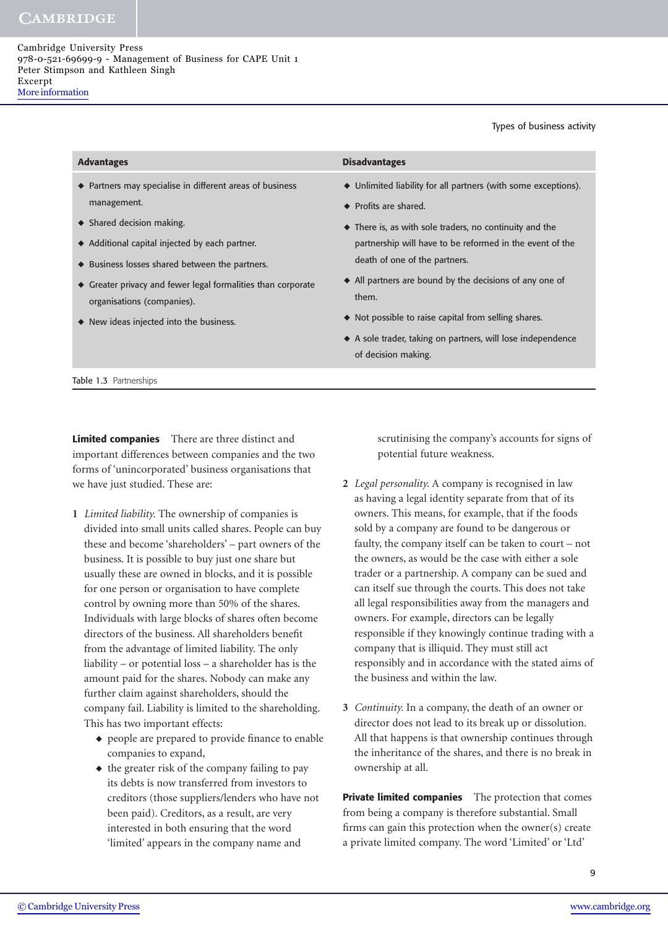Types of business activity

| • Partners may specialise in different areas of business<br>$\blacklozenge$ Unlimited liability for all partners (with some exceptions).<br>management.<br>$\blacklozenge$ Profits are shared.<br>$\triangleleft$ Shared decision making.<br>$\bullet$ There is, as with sole traders, no continuity and the<br>$\blacklozenge$ Additional capital injected by each partner.<br>partnership will have to be reformed in the event of the<br>death of one of the partners.<br>◆ Business losses shared between the partners.<br>$\blacklozenge$ All partners are bound by the decisions of any one of<br>$\blacklozenge$ Greater privacy and fewer legal formalities than corporate<br>them.<br>organisations (companies).<br>$\blacklozenge$ Not possible to raise capital from selling shares.<br>◆ New ideas injected into the business.<br>A sole trader, taking on partners, will lose independence | <b>Advantages</b> | <b>Disadvantages</b> |
|---------------------------------------------------------------------------------------------------------------------------------------------------------------------------------------------------------------------------------------------------------------------------------------------------------------------------------------------------------------------------------------------------------------------------------------------------------------------------------------------------------------------------------------------------------------------------------------------------------------------------------------------------------------------------------------------------------------------------------------------------------------------------------------------------------------------------------------------------------------------------------------------------------|-------------------|----------------------|
|                                                                                                                                                                                                                                                                                                                                                                                                                                                                                                                                                                                                                                                                                                                                                                                                                                                                                                         |                   | of decision making.  |

**Limited companies** There are three distinct and important differences between companies and the two forms of 'unincorporated' business organisations that we have just studied. These are:

- **1** *Limited liability.* The ownership of companies is divided into small units called shares. People can buy these and become 'shareholders' – part owners of the business. It is possible to buy just one share but usually these are owned in blocks, and it is possible for one person or organisation to have complete control by owning more than 50% of the shares. Individuals with large blocks of shares often become directors of the business. All shareholders benefit from the advantage of limited liability. The only liability – or potential loss – a shareholder has is the amount paid for the shares. Nobody can make any further claim against shareholders, should the company fail. Liability is limited to the shareholding. This has two important effects:
	- ◆ people are prepared to provide finance to enable companies to expand,
	- ◆ the greater risk of the company failing to pay its debts is now transferred from investors to creditors (those suppliers/lenders who have not been paid). Creditors, as a result, are very interested in both ensuring that the word 'limited' appears in the company name and

scrutinising the company's accounts for signs of potential future weakness.

- **2** *Legal personality.* A company is recognised in law as having a legal identity separate from that of its owners. This means, for example, that if the foods sold by a company are found to be dangerous or faulty, the company itself can be taken to court – not the owners, as would be the case with either a sole trader or a partnership. A company can be sued and can itself sue through the courts. This does not take all legal responsibilities away from the managers and owners. For example, directors can be legally responsible if they knowingly continue trading with a company that is illiquid. They must still act responsibly and in accordance with the stated aims of the business and within the law.
- **3** *Continuity.* In a company, the death of an owner or director does not lead to its break up or dissolution. All that happens is that ownership continues through the inheritance of the shares, and there is no break in ownership at all.

**Private limited companies** The protection that comes from being a company is therefore substantial. Small firms can gain this protection when the owner(s) create a private limited company. The word 'Limited' or 'Ltd'